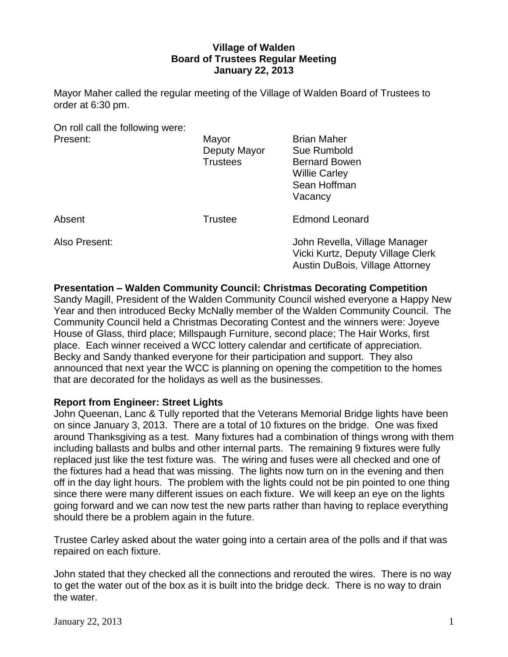# **Village of Walden Board of Trustees Regular Meeting January 22, 2013**

Mayor Maher called the regular meeting of the Village of Walden Board of Trustees to order at 6:30 pm.

On roll call the following were:

| Present:      | Mayor<br>Deputy Mayor<br><b>Trustees</b> | <b>Brian Maher</b><br>Sue Rumbold<br><b>Bernard Bowen</b><br><b>Willie Carley</b><br>Sean Hoffman<br>Vacancy |
|---------------|------------------------------------------|--------------------------------------------------------------------------------------------------------------|
| Absent        | <b>Trustee</b>                           | <b>Edmond Leonard</b>                                                                                        |
| Also Present: |                                          | John Revella, Village Manager<br>Vicki Kurtz, Deputy Village Clerk<br><b>Austin DuBois, Village Attorney</b> |

# **Presentation – Walden Community Council: Christmas Decorating Competition**

Sandy Magill, President of the Walden Community Council wished everyone a Happy New Year and then introduced Becky McNally member of the Walden Community Council. The Community Council held a Christmas Decorating Contest and the winners were: Joyeve House of Glass, third place; Millspaugh Furniture, second place; The Hair Works, first place. Each winner received a WCC lottery calendar and certificate of appreciation. Becky and Sandy thanked everyone for their participation and support. They also announced that next year the WCC is planning on opening the competition to the homes that are decorated for the holidays as well as the businesses.

# **Report from Engineer: Street Lights**

John Queenan, Lanc & Tully reported that the Veterans Memorial Bridge lights have been on since January 3, 2013. There are a total of 10 fixtures on the bridge. One was fixed around Thanksgiving as a test. Many fixtures had a combination of things wrong with them including ballasts and bulbs and other internal parts. The remaining 9 fixtures were fully replaced just like the test fixture was. The wiring and fuses were all checked and one of the fixtures had a head that was missing. The lights now turn on in the evening and then off in the day light hours. The problem with the lights could not be pin pointed to one thing since there were many different issues on each fixture. We will keep an eye on the lights going forward and we can now test the new parts rather than having to replace everything should there be a problem again in the future.

Trustee Carley asked about the water going into a certain area of the polls and if that was repaired on each fixture.

John stated that they checked all the connections and rerouted the wires. There is no way to get the water out of the box as it is built into the bridge deck. There is no way to drain the water.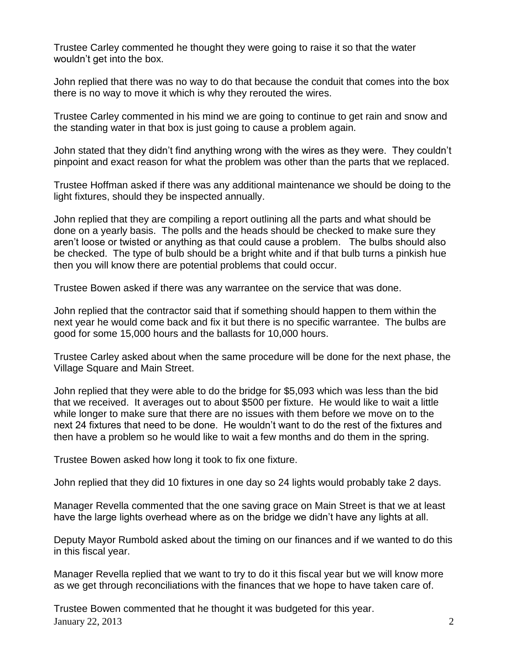Trustee Carley commented he thought they were going to raise it so that the water wouldn't get into the box.

John replied that there was no way to do that because the conduit that comes into the box there is no way to move it which is why they rerouted the wires.

Trustee Carley commented in his mind we are going to continue to get rain and snow and the standing water in that box is just going to cause a problem again.

John stated that they didn't find anything wrong with the wires as they were. They couldn't pinpoint and exact reason for what the problem was other than the parts that we replaced.

Trustee Hoffman asked if there was any additional maintenance we should be doing to the light fixtures, should they be inspected annually.

John replied that they are compiling a report outlining all the parts and what should be done on a yearly basis. The polls and the heads should be checked to make sure they aren't loose or twisted or anything as that could cause a problem. The bulbs should also be checked. The type of bulb should be a bright white and if that bulb turns a pinkish hue then you will know there are potential problems that could occur.

Trustee Bowen asked if there was any warrantee on the service that was done.

John replied that the contractor said that if something should happen to them within the next year he would come back and fix it but there is no specific warrantee. The bulbs are good for some 15,000 hours and the ballasts for 10,000 hours.

Trustee Carley asked about when the same procedure will be done for the next phase, the Village Square and Main Street.

John replied that they were able to do the bridge for \$5,093 which was less than the bid that we received. It averages out to about \$500 per fixture. He would like to wait a little while longer to make sure that there are no issues with them before we move on to the next 24 fixtures that need to be done. He wouldn't want to do the rest of the fixtures and then have a problem so he would like to wait a few months and do them in the spring.

Trustee Bowen asked how long it took to fix one fixture.

John replied that they did 10 fixtures in one day so 24 lights would probably take 2 days.

Manager Revella commented that the one saving grace on Main Street is that we at least have the large lights overhead where as on the bridge we didn't have any lights at all.

Deputy Mayor Rumbold asked about the timing on our finances and if we wanted to do this in this fiscal year.

Manager Revella replied that we want to try to do it this fiscal year but we will know more as we get through reconciliations with the finances that we hope to have taken care of.

January 22, 2013 2 Trustee Bowen commented that he thought it was budgeted for this year.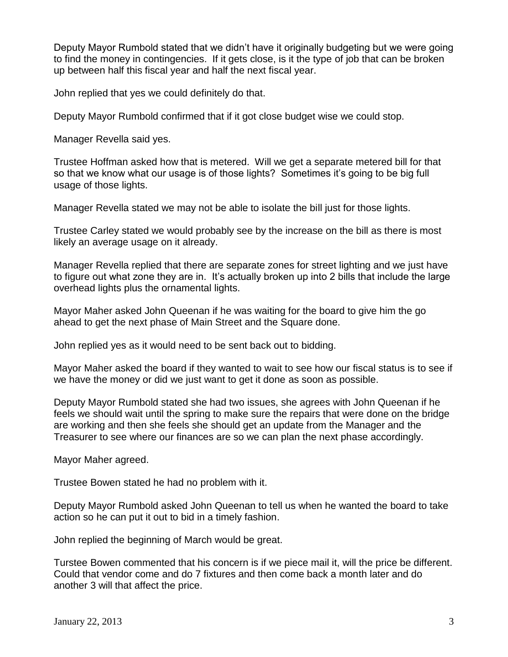Deputy Mayor Rumbold stated that we didn't have it originally budgeting but we were going to find the money in contingencies. If it gets close, is it the type of job that can be broken up between half this fiscal year and half the next fiscal year.

John replied that yes we could definitely do that.

Deputy Mayor Rumbold confirmed that if it got close budget wise we could stop.

Manager Revella said yes.

Trustee Hoffman asked how that is metered. Will we get a separate metered bill for that so that we know what our usage is of those lights? Sometimes it's going to be big full usage of those lights.

Manager Revella stated we may not be able to isolate the bill just for those lights.

Trustee Carley stated we would probably see by the increase on the bill as there is most likely an average usage on it already.

Manager Revella replied that there are separate zones for street lighting and we just have to figure out what zone they are in. It's actually broken up into 2 bills that include the large overhead lights plus the ornamental lights.

Mayor Maher asked John Queenan if he was waiting for the board to give him the go ahead to get the next phase of Main Street and the Square done.

John replied yes as it would need to be sent back out to bidding.

Mayor Maher asked the board if they wanted to wait to see how our fiscal status is to see if we have the money or did we just want to get it done as soon as possible.

Deputy Mayor Rumbold stated she had two issues, she agrees with John Queenan if he feels we should wait until the spring to make sure the repairs that were done on the bridge are working and then she feels she should get an update from the Manager and the Treasurer to see where our finances are so we can plan the next phase accordingly.

Mayor Maher agreed.

Trustee Bowen stated he had no problem with it.

Deputy Mayor Rumbold asked John Queenan to tell us when he wanted the board to take action so he can put it out to bid in a timely fashion.

John replied the beginning of March would be great.

Turstee Bowen commented that his concern is if we piece mail it, will the price be different. Could that vendor come and do 7 fixtures and then come back a month later and do another 3 will that affect the price.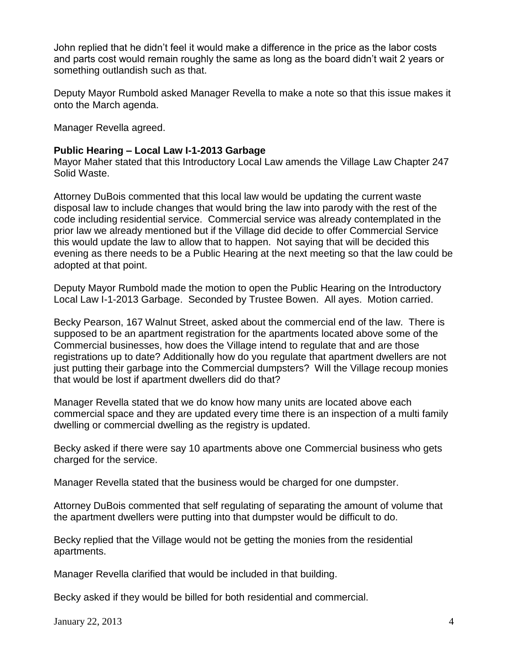John replied that he didn't feel it would make a difference in the price as the labor costs and parts cost would remain roughly the same as long as the board didn't wait 2 years or something outlandish such as that.

Deputy Mayor Rumbold asked Manager Revella to make a note so that this issue makes it onto the March agenda.

Manager Revella agreed.

# **Public Hearing – Local Law I-1-2013 Garbage**

Mayor Maher stated that this Introductory Local Law amends the Village Law Chapter 247 Solid Waste.

Attorney DuBois commented that this local law would be updating the current waste disposal law to include changes that would bring the law into parody with the rest of the code including residential service. Commercial service was already contemplated in the prior law we already mentioned but if the Village did decide to offer Commercial Service this would update the law to allow that to happen. Not saying that will be decided this evening as there needs to be a Public Hearing at the next meeting so that the law could be adopted at that point.

Deputy Mayor Rumbold made the motion to open the Public Hearing on the Introductory Local Law I-1-2013 Garbage. Seconded by Trustee Bowen. All ayes. Motion carried.

Becky Pearson, 167 Walnut Street, asked about the commercial end of the law. There is supposed to be an apartment registration for the apartments located above some of the Commercial businesses, how does the Village intend to regulate that and are those registrations up to date? Additionally how do you regulate that apartment dwellers are not just putting their garbage into the Commercial dumpsters? Will the Village recoup monies that would be lost if apartment dwellers did do that?

Manager Revella stated that we do know how many units are located above each commercial space and they are updated every time there is an inspection of a multi family dwelling or commercial dwelling as the registry is updated.

Becky asked if there were say 10 apartments above one Commercial business who gets charged for the service.

Manager Revella stated that the business would be charged for one dumpster.

Attorney DuBois commented that self regulating of separating the amount of volume that the apartment dwellers were putting into that dumpster would be difficult to do.

Becky replied that the Village would not be getting the monies from the residential apartments.

Manager Revella clarified that would be included in that building.

Becky asked if they would be billed for both residential and commercial.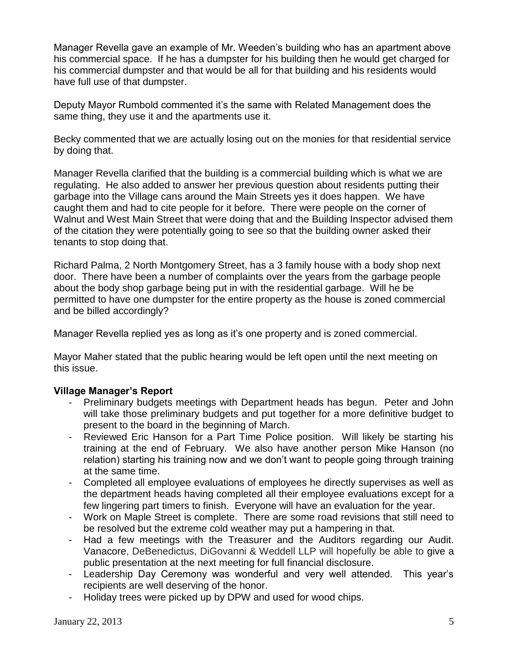Manager Revella gave an example of Mr. Weeden's building who has an apartment above his commercial space. If he has a dumpster for his building then he would get charged for his commercial dumpster and that would be all for that building and his residents would have full use of that dumpster.

Deputy Mayor Rumbold commented it's the same with Related Management does the same thing, they use it and the apartments use it.

Becky commented that we are actually losing out on the monies for that residential service by doing that.

Manager Revella clarified that the building is a commercial building which is what we are regulating. He also added to answer her previous question about residents putting their garbage into the Village cans around the Main Streets yes it does happen. We have caught them and had to cite people for it before. There were people on the corner of Walnut and West Main Street that were doing that and the Building Inspector advised them of the citation they were potentially going to see so that the building owner asked their tenants to stop doing that.

Richard Palma, 2 North Montgomery Street, has a 3 family house with a body shop next door. There have been a number of complaints over the years from the garbage people about the body shop garbage being put in with the residential garbage. Will he be permitted to have one dumpster for the entire property as the house is zoned commercial and be billed accordingly?

Manager Revella replied yes as long as it's one property and is zoned commercial.

Mayor Maher stated that the public hearing would be left open until the next meeting on this issue.

# **Village Manager's Report**

- Preliminary budgets meetings with Department heads has begun. Peter and John will take those preliminary budgets and put together for a more definitive budget to present to the board in the beginning of March.
- Reviewed Eric Hanson for a Part Time Police position. Will likely be starting his training at the end of February. We also have another person Mike Hanson (no relation) starting his training now and we don't want to people going through training at the same time.
- Completed all employee evaluations of employees he directly supervises as well as the department heads having completed all their employee evaluations except for a few lingering part timers to finish. Everyone will have an evaluation for the year.
- Work on Maple Street is complete. There are some road revisions that still need to be resolved but the extreme cold weather may put a hampering in that.
- Had a few meetings with the Treasurer and the Auditors regarding our Audit. Vanacore, DeBenedictus, DiGovanni & Weddell LLP will hopefully be able to give a public presentation at the next meeting for full financial disclosure.
- Leadership Day Ceremony was wonderful and very well attended. This year's recipients are well deserving of the honor.
- Holiday trees were picked up by DPW and used for wood chips.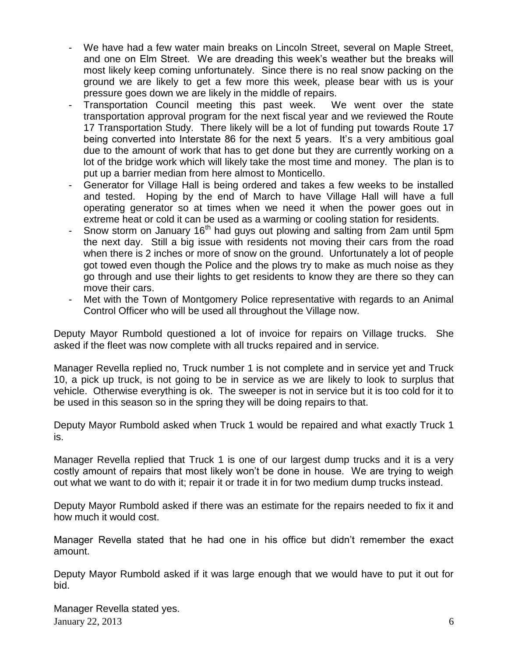- We have had a few water main breaks on Lincoln Street, several on Maple Street, and one on Elm Street. We are dreading this week's weather but the breaks will most likely keep coming unfortunately. Since there is no real snow packing on the ground we are likely to get a few more this week, please bear with us is your pressure goes down we are likely in the middle of repairs.
- Transportation Council meeting this past week. We went over the state transportation approval program for the next fiscal year and we reviewed the Route 17 Transportation Study. There likely will be a lot of funding put towards Route 17 being converted into Interstate 86 for the next 5 years. It's a very ambitious goal due to the amount of work that has to get done but they are currently working on a lot of the bridge work which will likely take the most time and money. The plan is to put up a barrier median from here almost to Monticello.
- Generator for Village Hall is being ordered and takes a few weeks to be installed and tested. Hoping by the end of March to have Village Hall will have a full operating generator so at times when we need it when the power goes out in extreme heat or cold it can be used as a warming or cooling station for residents.
- Snow storm on January 16<sup>th</sup> had guys out plowing and salting from 2am until 5pm the next day. Still a big issue with residents not moving their cars from the road when there is 2 inches or more of snow on the ground. Unfortunately a lot of people got towed even though the Police and the plows try to make as much noise as they go through and use their lights to get residents to know they are there so they can move their cars.
- Met with the Town of Montgomery Police representative with regards to an Animal Control Officer who will be used all throughout the Village now.

Deputy Mayor Rumbold questioned a lot of invoice for repairs on Village trucks. She asked if the fleet was now complete with all trucks repaired and in service.

Manager Revella replied no, Truck number 1 is not complete and in service yet and Truck 10, a pick up truck, is not going to be in service as we are likely to look to surplus that vehicle. Otherwise everything is ok. The sweeper is not in service but it is too cold for it to be used in this season so in the spring they will be doing repairs to that.

Deputy Mayor Rumbold asked when Truck 1 would be repaired and what exactly Truck 1 is.

Manager Revella replied that Truck 1 is one of our largest dump trucks and it is a very costly amount of repairs that most likely won't be done in house. We are trying to weigh out what we want to do with it; repair it or trade it in for two medium dump trucks instead.

Deputy Mayor Rumbold asked if there was an estimate for the repairs needed to fix it and how much it would cost.

Manager Revella stated that he had one in his office but didn't remember the exact amount.

Deputy Mayor Rumbold asked if it was large enough that we would have to put it out for bid.

January 22, 2013  $\qquad \qquad$  6 Manager Revella stated yes.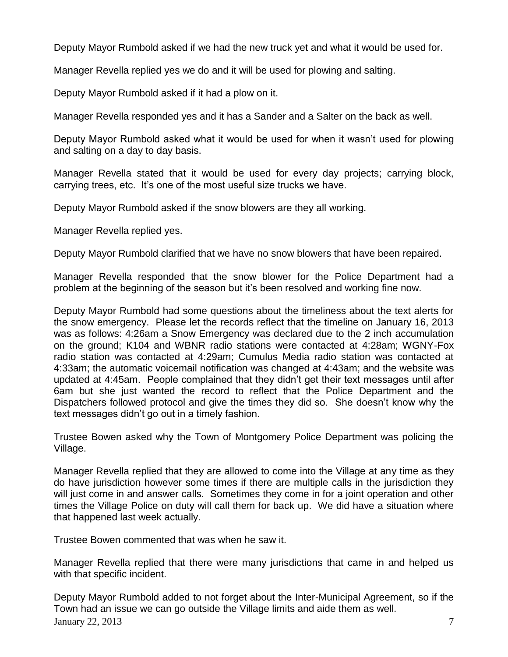Deputy Mayor Rumbold asked if we had the new truck yet and what it would be used for.

Manager Revella replied yes we do and it will be used for plowing and salting.

Deputy Mayor Rumbold asked if it had a plow on it.

Manager Revella responded yes and it has a Sander and a Salter on the back as well.

Deputy Mayor Rumbold asked what it would be used for when it wasn't used for plowing and salting on a day to day basis.

Manager Revella stated that it would be used for every day projects; carrying block, carrying trees, etc. It's one of the most useful size trucks we have.

Deputy Mayor Rumbold asked if the snow blowers are they all working.

Manager Revella replied yes.

Deputy Mayor Rumbold clarified that we have no snow blowers that have been repaired.

Manager Revella responded that the snow blower for the Police Department had a problem at the beginning of the season but it's been resolved and working fine now.

Deputy Mayor Rumbold had some questions about the timeliness about the text alerts for the snow emergency. Please let the records reflect that the timeline on January 16, 2013 was as follows: 4:26am a Snow Emergency was declared due to the 2 inch accumulation on the ground; K104 and WBNR radio stations were contacted at 4:28am; WGNY-Fox radio station was contacted at 4:29am; Cumulus Media radio station was contacted at 4:33am; the automatic voicemail notification was changed at 4:43am; and the website was updated at 4:45am. People complained that they didn't get their text messages until after 6am but she just wanted the record to reflect that the Police Department and the Dispatchers followed protocol and give the times they did so. She doesn't know why the text messages didn't go out in a timely fashion.

Trustee Bowen asked why the Town of Montgomery Police Department was policing the Village.

Manager Revella replied that they are allowed to come into the Village at any time as they do have jurisdiction however some times if there are multiple calls in the jurisdiction they will just come in and answer calls. Sometimes they come in for a joint operation and other times the Village Police on duty will call them for back up. We did have a situation where that happened last week actually.

Trustee Bowen commented that was when he saw it.

Manager Revella replied that there were many jurisdictions that came in and helped us with that specific incident.

January 22, 2013  $\overline{7}$ Deputy Mayor Rumbold added to not forget about the Inter-Municipal Agreement, so if the Town had an issue we can go outside the Village limits and aide them as well.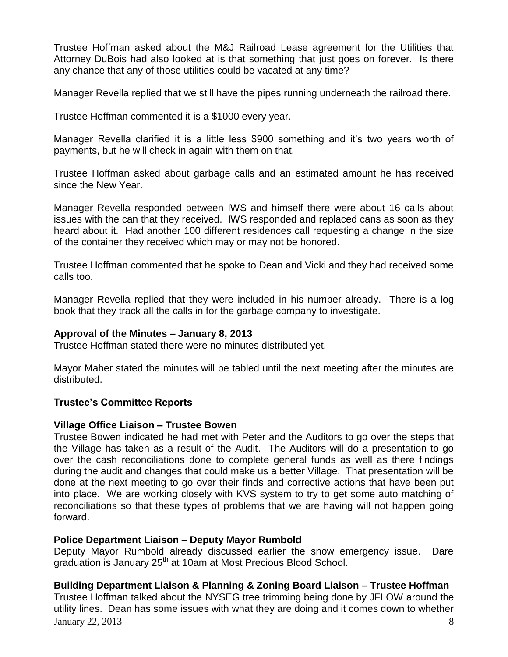Trustee Hoffman asked about the M&J Railroad Lease agreement for the Utilities that Attorney DuBois had also looked at is that something that just goes on forever. Is there any chance that any of those utilities could be vacated at any time?

Manager Revella replied that we still have the pipes running underneath the railroad there.

Trustee Hoffman commented it is a \$1000 every year.

Manager Revella clarified it is a little less \$900 something and it's two years worth of payments, but he will check in again with them on that.

Trustee Hoffman asked about garbage calls and an estimated amount he has received since the New Year.

Manager Revella responded between IWS and himself there were about 16 calls about issues with the can that they received. IWS responded and replaced cans as soon as they heard about it. Had another 100 different residences call requesting a change in the size of the container they received which may or may not be honored.

Trustee Hoffman commented that he spoke to Dean and Vicki and they had received some calls too.

Manager Revella replied that they were included in his number already. There is a log book that they track all the calls in for the garbage company to investigate.

## **Approval of the Minutes – January 8, 2013**

Trustee Hoffman stated there were no minutes distributed yet.

Mayor Maher stated the minutes will be tabled until the next meeting after the minutes are distributed.

# **Trustee's Committee Reports**

## **Village Office Liaison – Trustee Bowen**

Trustee Bowen indicated he had met with Peter and the Auditors to go over the steps that the Village has taken as a result of the Audit. The Auditors will do a presentation to go over the cash reconciliations done to complete general funds as well as there findings during the audit and changes that could make us a better Village. That presentation will be done at the next meeting to go over their finds and corrective actions that have been put into place. We are working closely with KVS system to try to get some auto matching of reconciliations so that these types of problems that we are having will not happen going forward.

# **Police Department Liaison – Deputy Mayor Rumbold**

Deputy Mayor Rumbold already discussed earlier the snow emergency issue. Dare graduation is January 25<sup>th</sup> at 10am at Most Precious Blood School.

# **Building Department Liaison & Planning & Zoning Board Liaison – Trustee Hoffman**

January 22, 2013  $\overline{\phantom{a}}$  8 Trustee Hoffman talked about the NYSEG tree trimming being done by JFLOW around the utility lines. Dean has some issues with what they are doing and it comes down to whether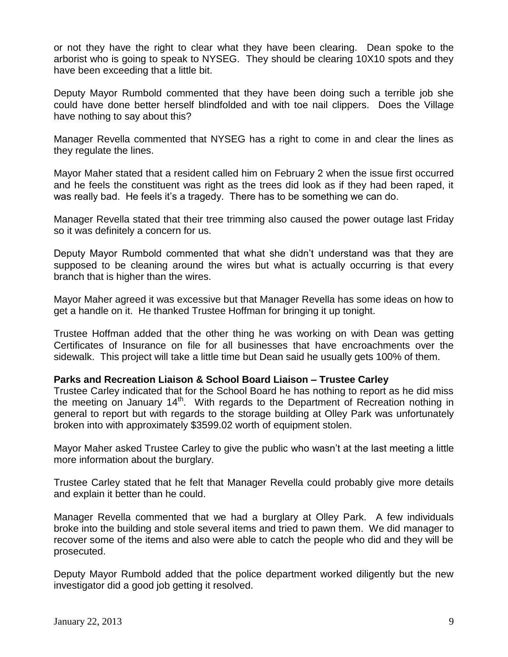or not they have the right to clear what they have been clearing. Dean spoke to the arborist who is going to speak to NYSEG. They should be clearing 10X10 spots and they have been exceeding that a little bit.

Deputy Mayor Rumbold commented that they have been doing such a terrible job she could have done better herself blindfolded and with toe nail clippers. Does the Village have nothing to say about this?

Manager Revella commented that NYSEG has a right to come in and clear the lines as they regulate the lines.

Mayor Maher stated that a resident called him on February 2 when the issue first occurred and he feels the constituent was right as the trees did look as if they had been raped, it was really bad. He feels it's a tragedy. There has to be something we can do.

Manager Revella stated that their tree trimming also caused the power outage last Friday so it was definitely a concern for us.

Deputy Mayor Rumbold commented that what she didn't understand was that they are supposed to be cleaning around the wires but what is actually occurring is that every branch that is higher than the wires.

Mayor Maher agreed it was excessive but that Manager Revella has some ideas on how to get a handle on it. He thanked Trustee Hoffman for bringing it up tonight.

Trustee Hoffman added that the other thing he was working on with Dean was getting Certificates of Insurance on file for all businesses that have encroachments over the sidewalk. This project will take a little time but Dean said he usually gets 100% of them.

## **Parks and Recreation Liaison & School Board Liaison – Trustee Carley**

Trustee Carley indicated that for the School Board he has nothing to report as he did miss the meeting on January  $14<sup>th</sup>$ . With regards to the Department of Recreation nothing in general to report but with regards to the storage building at Olley Park was unfortunately broken into with approximately \$3599.02 worth of equipment stolen.

Mayor Maher asked Trustee Carley to give the public who wasn't at the last meeting a little more information about the burglary.

Trustee Carley stated that he felt that Manager Revella could probably give more details and explain it better than he could.

Manager Revella commented that we had a burglary at Olley Park. A few individuals broke into the building and stole several items and tried to pawn them. We did manager to recover some of the items and also were able to catch the people who did and they will be prosecuted.

Deputy Mayor Rumbold added that the police department worked diligently but the new investigator did a good job getting it resolved.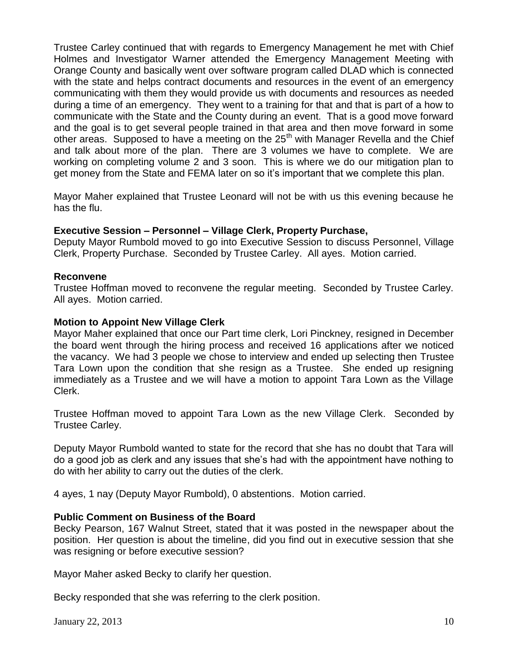Trustee Carley continued that with regards to Emergency Management he met with Chief Holmes and Investigator Warner attended the Emergency Management Meeting with Orange County and basically went over software program called DLAD which is connected with the state and helps contract documents and resources in the event of an emergency communicating with them they would provide us with documents and resources as needed during a time of an emergency. They went to a training for that and that is part of a how to communicate with the State and the County during an event. That is a good move forward and the goal is to get several people trained in that area and then move forward in some other areas. Supposed to have a meeting on the  $25<sup>th</sup>$  with Manager Revella and the Chief and talk about more of the plan. There are 3 volumes we have to complete. We are working on completing volume 2 and 3 soon. This is where we do our mitigation plan to get money from the State and FEMA later on so it's important that we complete this plan.

Mayor Maher explained that Trustee Leonard will not be with us this evening because he has the flu.

# **Executive Session – Personnel – Village Clerk, Property Purchase,**

Deputy Mayor Rumbold moved to go into Executive Session to discuss Personnel, Village Clerk, Property Purchase. Seconded by Trustee Carley. All ayes. Motion carried.

## **Reconvene**

Trustee Hoffman moved to reconvene the regular meeting. Seconded by Trustee Carley. All ayes. Motion carried.

## **Motion to Appoint New Village Clerk**

Mayor Maher explained that once our Part time clerk, Lori Pinckney, resigned in December the board went through the hiring process and received 16 applications after we noticed the vacancy. We had 3 people we chose to interview and ended up selecting then Trustee Tara Lown upon the condition that she resign as a Trustee. She ended up resigning immediately as a Trustee and we will have a motion to appoint Tara Lown as the Village Clerk.

Trustee Hoffman moved to appoint Tara Lown as the new Village Clerk. Seconded by Trustee Carley.

Deputy Mayor Rumbold wanted to state for the record that she has no doubt that Tara will do a good job as clerk and any issues that she's had with the appointment have nothing to do with her ability to carry out the duties of the clerk.

4 ayes, 1 nay (Deputy Mayor Rumbold), 0 abstentions. Motion carried.

# **Public Comment on Business of the Board**

Becky Pearson, 167 Walnut Street, stated that it was posted in the newspaper about the position. Her question is about the timeline, did you find out in executive session that she was resigning or before executive session?

Mayor Maher asked Becky to clarify her question.

Becky responded that she was referring to the clerk position.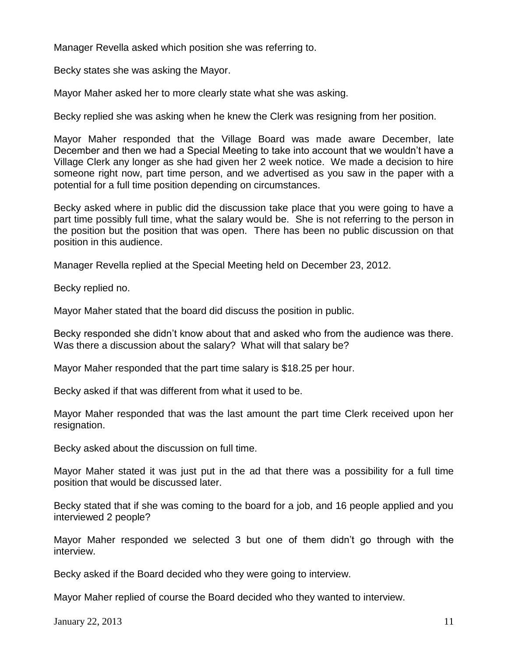Manager Revella asked which position she was referring to.

Becky states she was asking the Mayor.

Mayor Maher asked her to more clearly state what she was asking.

Becky replied she was asking when he knew the Clerk was resigning from her position.

Mayor Maher responded that the Village Board was made aware December, late December and then we had a Special Meeting to take into account that we wouldn't have a Village Clerk any longer as she had given her 2 week notice. We made a decision to hire someone right now, part time person, and we advertised as you saw in the paper with a potential for a full time position depending on circumstances.

Becky asked where in public did the discussion take place that you were going to have a part time possibly full time, what the salary would be. She is not referring to the person in the position but the position that was open. There has been no public discussion on that position in this audience.

Manager Revella replied at the Special Meeting held on December 23, 2012.

Becky replied no.

Mayor Maher stated that the board did discuss the position in public.

Becky responded she didn't know about that and asked who from the audience was there. Was there a discussion about the salary? What will that salary be?

Mayor Maher responded that the part time salary is \$18.25 per hour.

Becky asked if that was different from what it used to be.

Mayor Maher responded that was the last amount the part time Clerk received upon her resignation.

Becky asked about the discussion on full time.

Mayor Maher stated it was just put in the ad that there was a possibility for a full time position that would be discussed later.

Becky stated that if she was coming to the board for a job, and 16 people applied and you interviewed 2 people?

Mayor Maher responded we selected 3 but one of them didn't go through with the interview.

Becky asked if the Board decided who they were going to interview.

Mayor Maher replied of course the Board decided who they wanted to interview.

**January 22, 2013** 11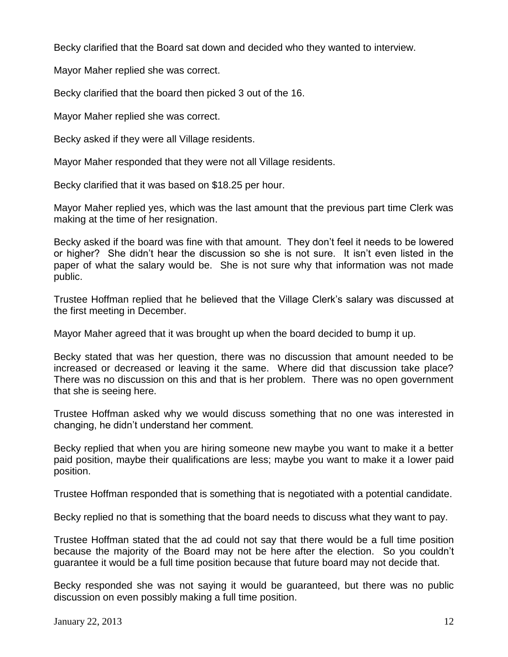Becky clarified that the Board sat down and decided who they wanted to interview.

Mayor Maher replied she was correct.

Becky clarified that the board then picked 3 out of the 16.

Mayor Maher replied she was correct.

Becky asked if they were all Village residents.

Mayor Maher responded that they were not all Village residents.

Becky clarified that it was based on \$18.25 per hour.

Mayor Maher replied yes, which was the last amount that the previous part time Clerk was making at the time of her resignation.

Becky asked if the board was fine with that amount. They don't feel it needs to be lowered or higher? She didn't hear the discussion so she is not sure. It isn't even listed in the paper of what the salary would be. She is not sure why that information was not made public.

Trustee Hoffman replied that he believed that the Village Clerk's salary was discussed at the first meeting in December.

Mayor Maher agreed that it was brought up when the board decided to bump it up.

Becky stated that was her question, there was no discussion that amount needed to be increased or decreased or leaving it the same. Where did that discussion take place? There was no discussion on this and that is her problem. There was no open government that she is seeing here.

Trustee Hoffman asked why we would discuss something that no one was interested in changing, he didn't understand her comment.

Becky replied that when you are hiring someone new maybe you want to make it a better paid position, maybe their qualifications are less; maybe you want to make it a lower paid position.

Trustee Hoffman responded that is something that is negotiated with a potential candidate.

Becky replied no that is something that the board needs to discuss what they want to pay.

Trustee Hoffman stated that the ad could not say that there would be a full time position because the majority of the Board may not be here after the election. So you couldn't guarantee it would be a full time position because that future board may not decide that.

Becky responded she was not saying it would be guaranteed, but there was no public discussion on even possibly making a full time position.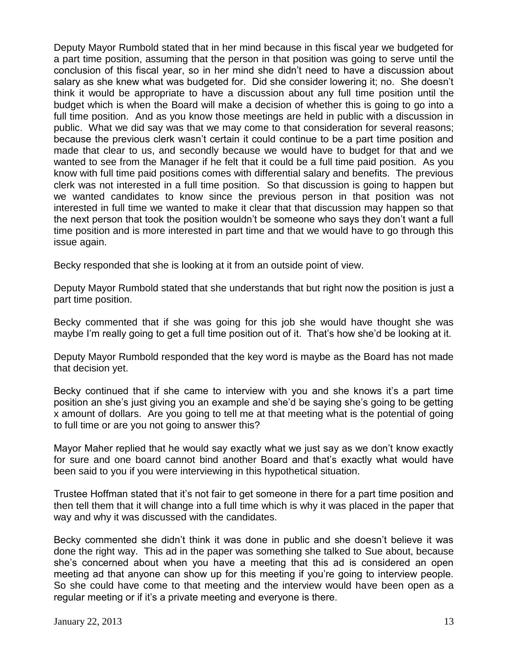Deputy Mayor Rumbold stated that in her mind because in this fiscal year we budgeted for a part time position, assuming that the person in that position was going to serve until the conclusion of this fiscal year, so in her mind she didn't need to have a discussion about salary as she knew what was budgeted for. Did she consider lowering it; no. She doesn't think it would be appropriate to have a discussion about any full time position until the budget which is when the Board will make a decision of whether this is going to go into a full time position. And as you know those meetings are held in public with a discussion in public. What we did say was that we may come to that consideration for several reasons; because the previous clerk wasn't certain it could continue to be a part time position and made that clear to us, and secondly because we would have to budget for that and we wanted to see from the Manager if he felt that it could be a full time paid position. As you know with full time paid positions comes with differential salary and benefits. The previous clerk was not interested in a full time position. So that discussion is going to happen but we wanted candidates to know since the previous person in that position was not interested in full time we wanted to make it clear that that discussion may happen so that the next person that took the position wouldn't be someone who says they don't want a full time position and is more interested in part time and that we would have to go through this issue again.

Becky responded that she is looking at it from an outside point of view.

Deputy Mayor Rumbold stated that she understands that but right now the position is just a part time position.

Becky commented that if she was going for this job she would have thought she was maybe I'm really going to get a full time position out of it. That's how she'd be looking at it.

Deputy Mayor Rumbold responded that the key word is maybe as the Board has not made that decision yet.

Becky continued that if she came to interview with you and she knows it's a part time position an she's just giving you an example and she'd be saying she's going to be getting x amount of dollars. Are you going to tell me at that meeting what is the potential of going to full time or are you not going to answer this?

Mayor Maher replied that he would say exactly what we just say as we don't know exactly for sure and one board cannot bind another Board and that's exactly what would have been said to you if you were interviewing in this hypothetical situation.

Trustee Hoffman stated that it's not fair to get someone in there for a part time position and then tell them that it will change into a full time which is why it was placed in the paper that way and why it was discussed with the candidates.

Becky commented she didn't think it was done in public and she doesn't believe it was done the right way. This ad in the paper was something she talked to Sue about, because she's concerned about when you have a meeting that this ad is considered an open meeting ad that anyone can show up for this meeting if you're going to interview people. So she could have come to that meeting and the interview would have been open as a regular meeting or if it's a private meeting and everyone is there.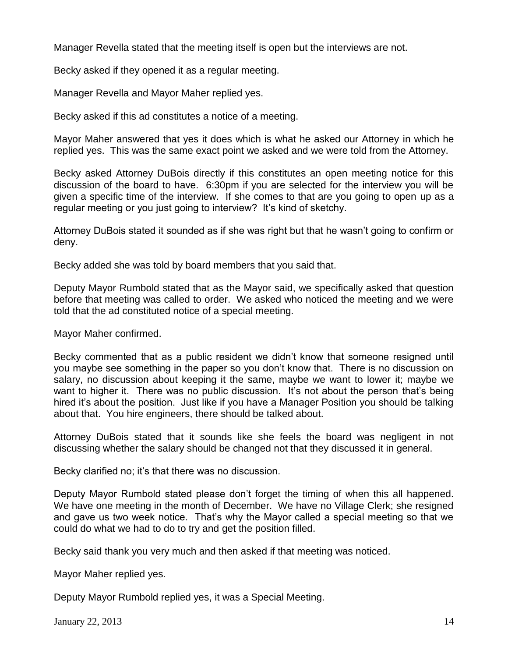Manager Revella stated that the meeting itself is open but the interviews are not.

Becky asked if they opened it as a regular meeting.

Manager Revella and Mayor Maher replied yes.

Becky asked if this ad constitutes a notice of a meeting.

Mayor Maher answered that yes it does which is what he asked our Attorney in which he replied yes. This was the same exact point we asked and we were told from the Attorney.

Becky asked Attorney DuBois directly if this constitutes an open meeting notice for this discussion of the board to have. 6:30pm if you are selected for the interview you will be given a specific time of the interview. If she comes to that are you going to open up as a regular meeting or you just going to interview? It's kind of sketchy.

Attorney DuBois stated it sounded as if she was right but that he wasn't going to confirm or deny.

Becky added she was told by board members that you said that.

Deputy Mayor Rumbold stated that as the Mayor said, we specifically asked that question before that meeting was called to order. We asked who noticed the meeting and we were told that the ad constituted notice of a special meeting.

Mayor Maher confirmed.

Becky commented that as a public resident we didn't know that someone resigned until you maybe see something in the paper so you don't know that. There is no discussion on salary, no discussion about keeping it the same, maybe we want to lower it; maybe we want to higher it. There was no public discussion. It's not about the person that's being hired it's about the position. Just like if you have a Manager Position you should be talking about that. You hire engineers, there should be talked about.

Attorney DuBois stated that it sounds like she feels the board was negligent in not discussing whether the salary should be changed not that they discussed it in general.

Becky clarified no; it's that there was no discussion.

Deputy Mayor Rumbold stated please don't forget the timing of when this all happened. We have one meeting in the month of December. We have no Village Clerk; she resigned and gave us two week notice. That's why the Mayor called a special meeting so that we could do what we had to do to try and get the position filled.

Becky said thank you very much and then asked if that meeting was noticed.

Mayor Maher replied yes.

Deputy Mayor Rumbold replied yes, it was a Special Meeting.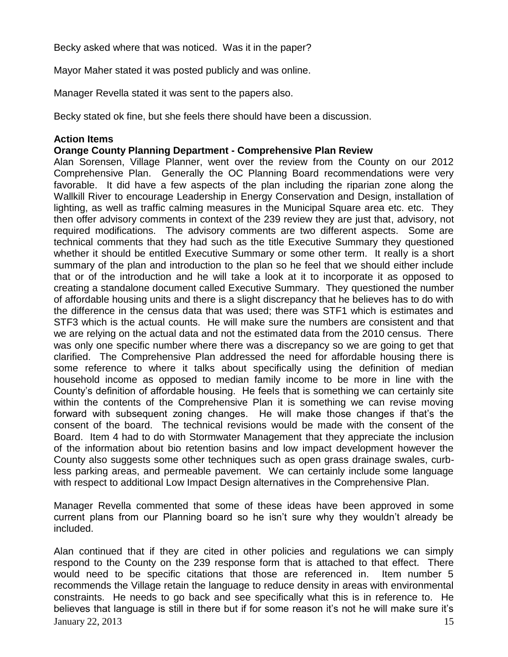Becky asked where that was noticed. Was it in the paper?

Mayor Maher stated it was posted publicly and was online.

Manager Revella stated it was sent to the papers also.

Becky stated ok fine, but she feels there should have been a discussion.

# **Action Items**

## **Orange County Planning Department - Comprehensive Plan Review**

Alan Sorensen, Village Planner, went over the review from the County on our 2012 Comprehensive Plan. Generally the OC Planning Board recommendations were very favorable. It did have a few aspects of the plan including the riparian zone along the Wallkill River to encourage Leadership in Energy Conservation and Design, installation of lighting, as well as traffic calming measures in the Municipal Square area etc. etc. They then offer advisory comments in context of the 239 review they are just that, advisory, not required modifications. The advisory comments are two different aspects. Some are technical comments that they had such as the title Executive Summary they questioned whether it should be entitled Executive Summary or some other term. It really is a short summary of the plan and introduction to the plan so he feel that we should either include that or of the introduction and he will take a look at it to incorporate it as opposed to creating a standalone document called Executive Summary. They questioned the number of affordable housing units and there is a slight discrepancy that he believes has to do with the difference in the census data that was used; there was STF1 which is estimates and STF3 which is the actual counts. He will make sure the numbers are consistent and that we are relying on the actual data and not the estimated data from the 2010 census. There was only one specific number where there was a discrepancy so we are going to get that clarified. The Comprehensive Plan addressed the need for affordable housing there is some reference to where it talks about specifically using the definition of median household income as opposed to median family income to be more in line with the County's definition of affordable housing. He feels that is something we can certainly site within the contents of the Comprehensive Plan it is something we can revise moving forward with subsequent zoning changes. He will make those changes if that's the consent of the board. The technical revisions would be made with the consent of the Board. Item 4 had to do with Stormwater Management that they appreciate the inclusion of the information about bio retention basins and low impact development however the County also suggests some other techniques such as open grass drainage swales, curbless parking areas, and permeable pavement. We can certainly include some language with respect to additional Low Impact Design alternatives in the Comprehensive Plan.

Manager Revella commented that some of these ideas have been approved in some current plans from our Planning board so he isn't sure why they wouldn't already be included.

January 22, 2013  $\hspace{1.5cm}$  15 Alan continued that if they are cited in other policies and regulations we can simply respond to the County on the 239 response form that is attached to that effect. There would need to be specific citations that those are referenced in. Item number 5 recommends the Village retain the language to reduce density in areas with environmental constraints. He needs to go back and see specifically what this is in reference to. He believes that language is still in there but if for some reason it's not he will make sure it's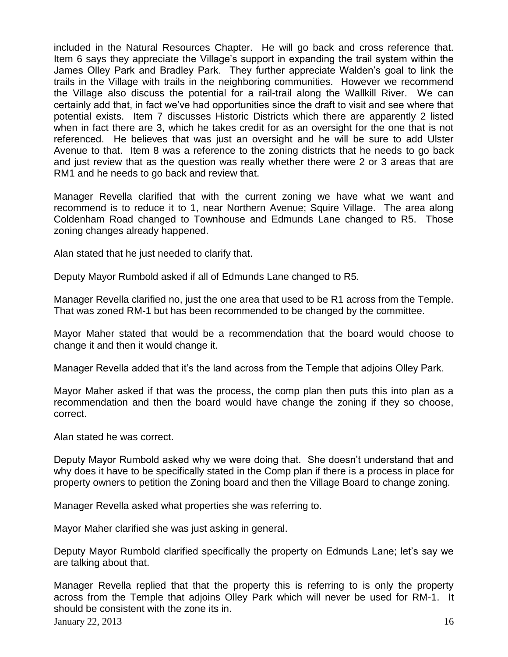included in the Natural Resources Chapter. He will go back and cross reference that. Item 6 says they appreciate the Village's support in expanding the trail system within the James Olley Park and Bradley Park. They further appreciate Walden's goal to link the trails in the Village with trails in the neighboring communities. However we recommend the Village also discuss the potential for a rail-trail along the Wallkill River. We can certainly add that, in fact we've had opportunities since the draft to visit and see where that potential exists. Item 7 discusses Historic Districts which there are apparently 2 listed when in fact there are 3, which he takes credit for as an oversight for the one that is not referenced. He believes that was just an oversight and he will be sure to add Ulster Avenue to that. Item 8 was a reference to the zoning districts that he needs to go back and just review that as the question was really whether there were 2 or 3 areas that are RM1 and he needs to go back and review that.

Manager Revella clarified that with the current zoning we have what we want and recommend is to reduce it to 1, near Northern Avenue; Squire Village. The area along Coldenham Road changed to Townhouse and Edmunds Lane changed to R5. Those zoning changes already happened.

Alan stated that he just needed to clarify that.

Deputy Mayor Rumbold asked if all of Edmunds Lane changed to R5.

Manager Revella clarified no, just the one area that used to be R1 across from the Temple. That was zoned RM-1 but has been recommended to be changed by the committee.

Mayor Maher stated that would be a recommendation that the board would choose to change it and then it would change it.

Manager Revella added that it's the land across from the Temple that adjoins Olley Park.

Mayor Maher asked if that was the process, the comp plan then puts this into plan as a recommendation and then the board would have change the zoning if they so choose, correct.

Alan stated he was correct.

Deputy Mayor Rumbold asked why we were doing that. She doesn't understand that and why does it have to be specifically stated in the Comp plan if there is a process in place for property owners to petition the Zoning board and then the Village Board to change zoning.

Manager Revella asked what properties she was referring to.

Mayor Maher clarified she was just asking in general.

Deputy Mayor Rumbold clarified specifically the property on Edmunds Lane; let's say we are talking about that.

Manager Revella replied that that the property this is referring to is only the property across from the Temple that adjoins Olley Park which will never be used for RM-1. It should be consistent with the zone its in.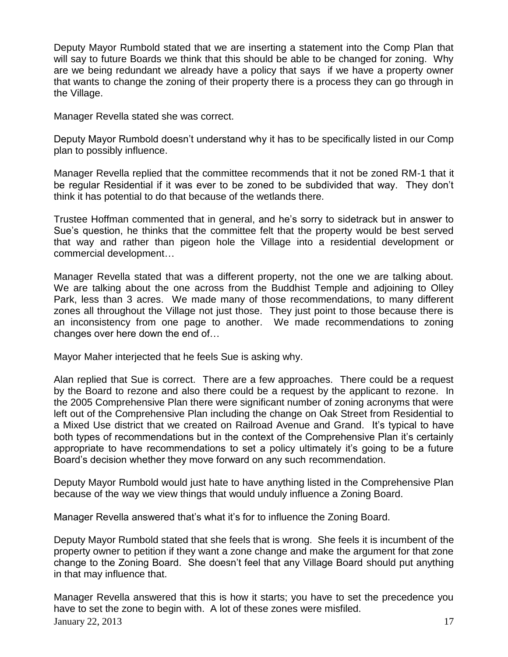Deputy Mayor Rumbold stated that we are inserting a statement into the Comp Plan that will say to future Boards we think that this should be able to be changed for zoning. Why are we being redundant we already have a policy that says if we have a property owner that wants to change the zoning of their property there is a process they can go through in the Village.

Manager Revella stated she was correct.

Deputy Mayor Rumbold doesn't understand why it has to be specifically listed in our Comp plan to possibly influence.

Manager Revella replied that the committee recommends that it not be zoned RM-1 that it be regular Residential if it was ever to be zoned to be subdivided that way. They don't think it has potential to do that because of the wetlands there.

Trustee Hoffman commented that in general, and he's sorry to sidetrack but in answer to Sue's question, he thinks that the committee felt that the property would be best served that way and rather than pigeon hole the Village into a residential development or commercial development…

Manager Revella stated that was a different property, not the one we are talking about. We are talking about the one across from the Buddhist Temple and adjoining to Olley Park, less than 3 acres. We made many of those recommendations, to many different zones all throughout the Village not just those. They just point to those because there is an inconsistency from one page to another. We made recommendations to zoning changes over here down the end of…

Mayor Maher interjected that he feels Sue is asking why.

Alan replied that Sue is correct. There are a few approaches. There could be a request by the Board to rezone and also there could be a request by the applicant to rezone. In the 2005 Comprehensive Plan there were significant number of zoning acronyms that were left out of the Comprehensive Plan including the change on Oak Street from Residential to a Mixed Use district that we created on Railroad Avenue and Grand. It's typical to have both types of recommendations but in the context of the Comprehensive Plan it's certainly appropriate to have recommendations to set a policy ultimately it's going to be a future Board's decision whether they move forward on any such recommendation.

Deputy Mayor Rumbold would just hate to have anything listed in the Comprehensive Plan because of the way we view things that would unduly influence a Zoning Board.

Manager Revella answered that's what it's for to influence the Zoning Board.

Deputy Mayor Rumbold stated that she feels that is wrong. She feels it is incumbent of the property owner to petition if they want a zone change and make the argument for that zone change to the Zoning Board. She doesn't feel that any Village Board should put anything in that may influence that.

**January 22, 2013** 17 Manager Revella answered that this is how it starts; you have to set the precedence you have to set the zone to begin with. A lot of these zones were misfiled.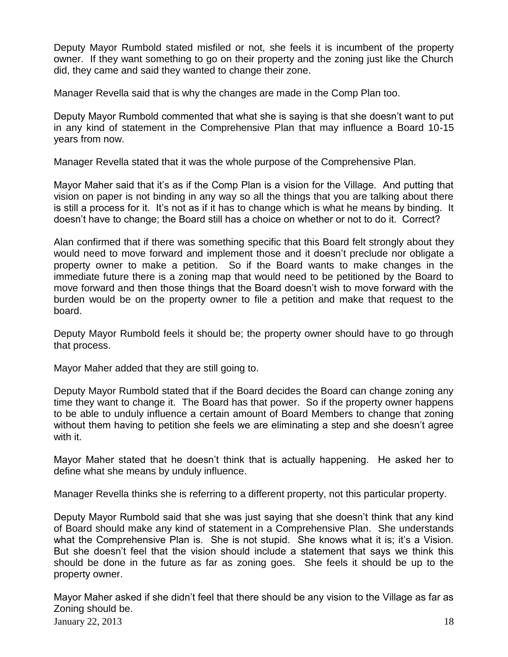Deputy Mayor Rumbold stated misfiled or not, she feels it is incumbent of the property owner. If they want something to go on their property and the zoning just like the Church did, they came and said they wanted to change their zone.

Manager Revella said that is why the changes are made in the Comp Plan too.

Deputy Mayor Rumbold commented that what she is saying is that she doesn't want to put in any kind of statement in the Comprehensive Plan that may influence a Board 10-15 years from now.

Manager Revella stated that it was the whole purpose of the Comprehensive Plan.

Mayor Maher said that it's as if the Comp Plan is a vision for the Village. And putting that vision on paper is not binding in any way so all the things that you are talking about there is still a process for it. It's not as if it has to change which is what he means by binding. It doesn't have to change; the Board still has a choice on whether or not to do it. Correct?

Alan confirmed that if there was something specific that this Board felt strongly about they would need to move forward and implement those and it doesn't preclude nor obligate a property owner to make a petition. So if the Board wants to make changes in the immediate future there is a zoning map that would need to be petitioned by the Board to move forward and then those things that the Board doesn't wish to move forward with the burden would be on the property owner to file a petition and make that request to the board.

Deputy Mayor Rumbold feels it should be; the property owner should have to go through that process.

Mayor Maher added that they are still going to.

Deputy Mayor Rumbold stated that if the Board decides the Board can change zoning any time they want to change it. The Board has that power. So if the property owner happens to be able to unduly influence a certain amount of Board Members to change that zoning without them having to petition she feels we are eliminating a step and she doesn't agree with it.

Mayor Maher stated that he doesn't think that is actually happening. He asked her to define what she means by unduly influence.

Manager Revella thinks she is referring to a different property, not this particular property.

Deputy Mayor Rumbold said that she was just saying that she doesn't think that any kind of Board should make any kind of statement in a Comprehensive Plan. She understands what the Comprehensive Plan is. She is not stupid. She knows what it is; it's a Vision. But she doesn't feel that the vision should include a statement that says we think this should be done in the future as far as zoning goes. She feels it should be up to the property owner.

**January 22, 2013** 18 Mayor Maher asked if she didn't feel that there should be any vision to the Village as far as Zoning should be.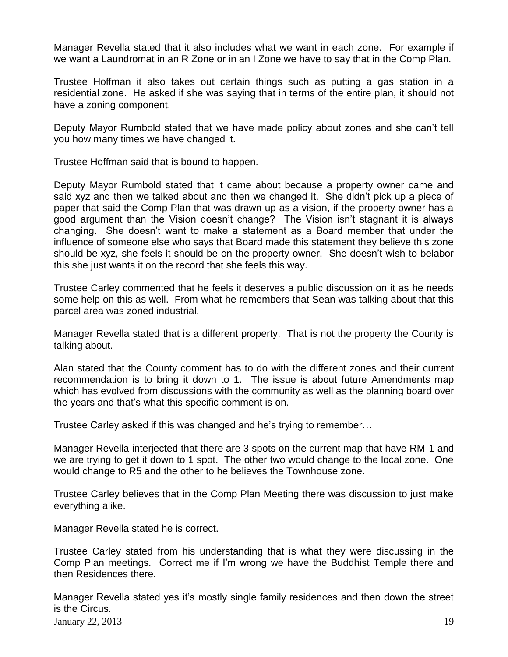Manager Revella stated that it also includes what we want in each zone. For example if we want a Laundromat in an R Zone or in an I Zone we have to say that in the Comp Plan.

Trustee Hoffman it also takes out certain things such as putting a gas station in a residential zone. He asked if she was saying that in terms of the entire plan, it should not have a zoning component.

Deputy Mayor Rumbold stated that we have made policy about zones and she can't tell you how many times we have changed it.

Trustee Hoffman said that is bound to happen.

Deputy Mayor Rumbold stated that it came about because a property owner came and said xyz and then we talked about and then we changed it. She didn't pick up a piece of paper that said the Comp Plan that was drawn up as a vision, if the property owner has a good argument than the Vision doesn't change? The Vision isn't stagnant it is always changing. She doesn't want to make a statement as a Board member that under the influence of someone else who says that Board made this statement they believe this zone should be xyz, she feels it should be on the property owner. She doesn't wish to belabor this she just wants it on the record that she feels this way.

Trustee Carley commented that he feels it deserves a public discussion on it as he needs some help on this as well. From what he remembers that Sean was talking about that this parcel area was zoned industrial.

Manager Revella stated that is a different property. That is not the property the County is talking about.

Alan stated that the County comment has to do with the different zones and their current recommendation is to bring it down to 1. The issue is about future Amendments map which has evolved from discussions with the community as well as the planning board over the years and that's what this specific comment is on.

Trustee Carley asked if this was changed and he's trying to remember…

Manager Revella interjected that there are 3 spots on the current map that have RM-1 and we are trying to get it down to 1 spot. The other two would change to the local zone. One would change to R5 and the other to he believes the Townhouse zone.

Trustee Carley believes that in the Comp Plan Meeting there was discussion to just make everything alike.

Manager Revella stated he is correct.

Trustee Carley stated from his understanding that is what they were discussing in the Comp Plan meetings. Correct me if I'm wrong we have the Buddhist Temple there and then Residences there.

**January 22, 2013** 19 Manager Revella stated yes it's mostly single family residences and then down the street is the Circus.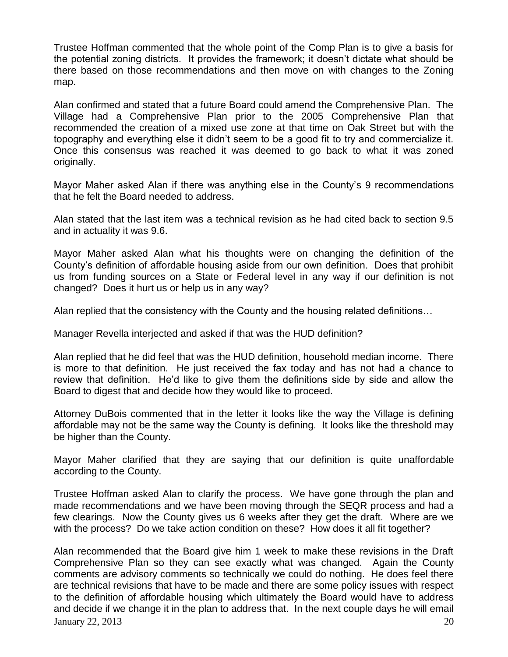Trustee Hoffman commented that the whole point of the Comp Plan is to give a basis for the potential zoning districts. It provides the framework; it doesn't dictate what should be there based on those recommendations and then move on with changes to the Zoning map.

Alan confirmed and stated that a future Board could amend the Comprehensive Plan. The Village had a Comprehensive Plan prior to the 2005 Comprehensive Plan that recommended the creation of a mixed use zone at that time on Oak Street but with the topography and everything else it didn't seem to be a good fit to try and commercialize it. Once this consensus was reached it was deemed to go back to what it was zoned originally.

Mayor Maher asked Alan if there was anything else in the County's 9 recommendations that he felt the Board needed to address.

Alan stated that the last item was a technical revision as he had cited back to section 9.5 and in actuality it was 9.6.

Mayor Maher asked Alan what his thoughts were on changing the definition of the County's definition of affordable housing aside from our own definition. Does that prohibit us from funding sources on a State or Federal level in any way if our definition is not changed? Does it hurt us or help us in any way?

Alan replied that the consistency with the County and the housing related definitions…

Manager Revella interjected and asked if that was the HUD definition?

Alan replied that he did feel that was the HUD definition, household median income. There is more to that definition. He just received the fax today and has not had a chance to review that definition. He'd like to give them the definitions side by side and allow the Board to digest that and decide how they would like to proceed.

Attorney DuBois commented that in the letter it looks like the way the Village is defining affordable may not be the same way the County is defining. It looks like the threshold may be higher than the County.

Mayor Maher clarified that they are saying that our definition is quite unaffordable according to the County.

Trustee Hoffman asked Alan to clarify the process. We have gone through the plan and made recommendations and we have been moving through the SEQR process and had a few clearings. Now the County gives us 6 weeks after they get the draft. Where are we with the process? Do we take action condition on these? How does it all fit together?

January 22, 2013  $\hspace{1.5cm}$  20 Alan recommended that the Board give him 1 week to make these revisions in the Draft Comprehensive Plan so they can see exactly what was changed. Again the County comments are advisory comments so technically we could do nothing. He does feel there are technical revisions that have to be made and there are some policy issues with respect to the definition of affordable housing which ultimately the Board would have to address and decide if we change it in the plan to address that. In the next couple days he will email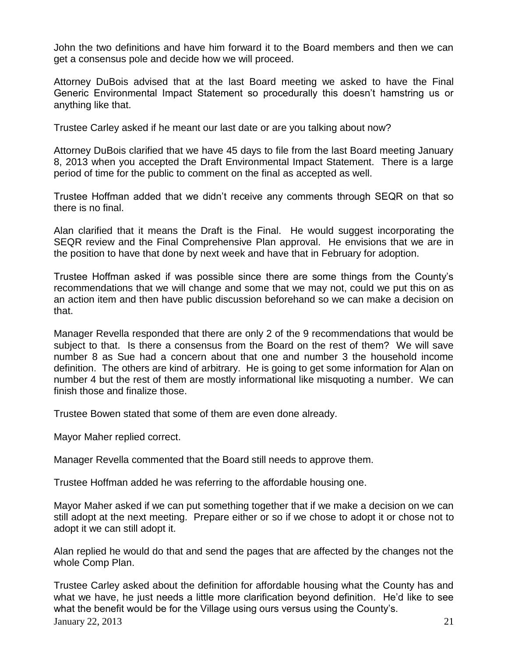John the two definitions and have him forward it to the Board members and then we can get a consensus pole and decide how we will proceed.

Attorney DuBois advised that at the last Board meeting we asked to have the Final Generic Environmental Impact Statement so procedurally this doesn't hamstring us or anything like that.

Trustee Carley asked if he meant our last date or are you talking about now?

Attorney DuBois clarified that we have 45 days to file from the last Board meeting January 8, 2013 when you accepted the Draft Environmental Impact Statement. There is a large period of time for the public to comment on the final as accepted as well.

Trustee Hoffman added that we didn't receive any comments through SEQR on that so there is no final.

Alan clarified that it means the Draft is the Final. He would suggest incorporating the SEQR review and the Final Comprehensive Plan approval. He envisions that we are in the position to have that done by next week and have that in February for adoption.

Trustee Hoffman asked if was possible since there are some things from the County's recommendations that we will change and some that we may not, could we put this on as an action item and then have public discussion beforehand so we can make a decision on that.

Manager Revella responded that there are only 2 of the 9 recommendations that would be subject to that. Is there a consensus from the Board on the rest of them? We will save number 8 as Sue had a concern about that one and number 3 the household income definition. The others are kind of arbitrary. He is going to get some information for Alan on number 4 but the rest of them are mostly informational like misquoting a number. We can finish those and finalize those.

Trustee Bowen stated that some of them are even done already.

Mayor Maher replied correct.

Manager Revella commented that the Board still needs to approve them.

Trustee Hoffman added he was referring to the affordable housing one.

Mayor Maher asked if we can put something together that if we make a decision on we can still adopt at the next meeting. Prepare either or so if we chose to adopt it or chose not to adopt it we can still adopt it.

Alan replied he would do that and send the pages that are affected by the changes not the whole Comp Plan.

 $J_{\text{annuary}}$  22, 2013 21 Trustee Carley asked about the definition for affordable housing what the County has and what we have, he just needs a little more clarification beyond definition. He'd like to see what the benefit would be for the Village using ours versus using the County's.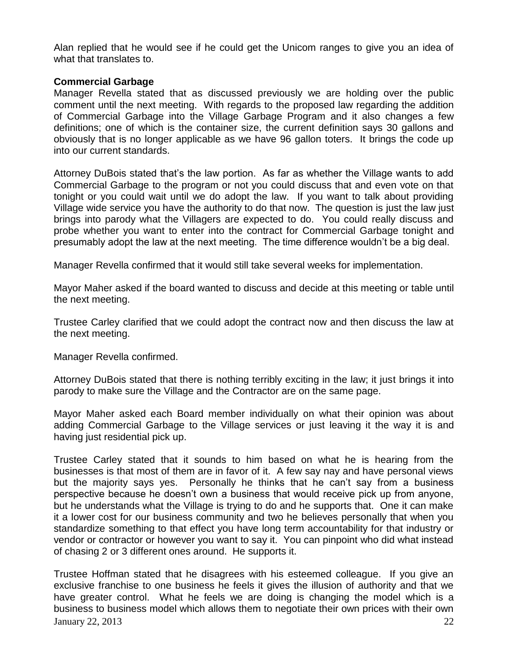Alan replied that he would see if he could get the Unicom ranges to give you an idea of what that translates to.

# **Commercial Garbage**

Manager Revella stated that as discussed previously we are holding over the public comment until the next meeting. With regards to the proposed law regarding the addition of Commercial Garbage into the Village Garbage Program and it also changes a few definitions; one of which is the container size, the current definition says 30 gallons and obviously that is no longer applicable as we have 96 gallon toters. It brings the code up into our current standards.

Attorney DuBois stated that's the law portion. As far as whether the Village wants to add Commercial Garbage to the program or not you could discuss that and even vote on that tonight or you could wait until we do adopt the law. If you want to talk about providing Village wide service you have the authority to do that now. The question is just the law just brings into parody what the Villagers are expected to do. You could really discuss and probe whether you want to enter into the contract for Commercial Garbage tonight and presumably adopt the law at the next meeting. The time difference wouldn't be a big deal.

Manager Revella confirmed that it would still take several weeks for implementation.

Mayor Maher asked if the board wanted to discuss and decide at this meeting or table until the next meeting.

Trustee Carley clarified that we could adopt the contract now and then discuss the law at the next meeting.

Manager Revella confirmed.

Attorney DuBois stated that there is nothing terribly exciting in the law; it just brings it into parody to make sure the Village and the Contractor are on the same page.

Mayor Maher asked each Board member individually on what their opinion was about adding Commercial Garbage to the Village services or just leaving it the way it is and having just residential pick up.

Trustee Carley stated that it sounds to him based on what he is hearing from the businesses is that most of them are in favor of it. A few say nay and have personal views but the majority says yes. Personally he thinks that he can't say from a business perspective because he doesn't own a business that would receive pick up from anyone, but he understands what the Village is trying to do and he supports that. One it can make it a lower cost for our business community and two he believes personally that when you standardize something to that effect you have long term accountability for that industry or vendor or contractor or however you want to say it. You can pinpoint who did what instead of chasing 2 or 3 different ones around. He supports it.

January 22, 2013 22 Trustee Hoffman stated that he disagrees with his esteemed colleague. If you give an exclusive franchise to one business he feels it gives the illusion of authority and that we have greater control. What he feels we are doing is changing the model which is a business to business model which allows them to negotiate their own prices with their own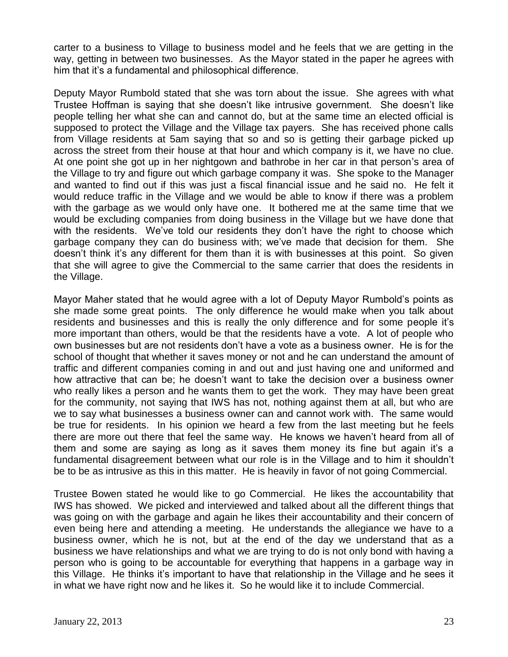carter to a business to Village to business model and he feels that we are getting in the way, getting in between two businesses. As the Mayor stated in the paper he agrees with him that it's a fundamental and philosophical difference.

Deputy Mayor Rumbold stated that she was torn about the issue. She agrees with what Trustee Hoffman is saying that she doesn't like intrusive government. She doesn't like people telling her what she can and cannot do, but at the same time an elected official is supposed to protect the Village and the Village tax payers. She has received phone calls from Village residents at 5am saying that so and so is getting their garbage picked up across the street from their house at that hour and which company is it, we have no clue. At one point she got up in her nightgown and bathrobe in her car in that person's area of the Village to try and figure out which garbage company it was. She spoke to the Manager and wanted to find out if this was just a fiscal financial issue and he said no. He felt it would reduce traffic in the Village and we would be able to know if there was a problem with the garbage as we would only have one. It bothered me at the same time that we would be excluding companies from doing business in the Village but we have done that with the residents. We've told our residents they don't have the right to choose which garbage company they can do business with; we've made that decision for them. She doesn't think it's any different for them than it is with businesses at this point. So given that she will agree to give the Commercial to the same carrier that does the residents in the Village.

Mayor Maher stated that he would agree with a lot of Deputy Mayor Rumbold's points as she made some great points. The only difference he would make when you talk about residents and businesses and this is really the only difference and for some people it's more important than others, would be that the residents have a vote. A lot of people who own businesses but are not residents don't have a vote as a business owner. He is for the school of thought that whether it saves money or not and he can understand the amount of traffic and different companies coming in and out and just having one and uniformed and how attractive that can be; he doesn't want to take the decision over a business owner who really likes a person and he wants them to get the work. They may have been great for the community, not saying that IWS has not, nothing against them at all, but who are we to say what businesses a business owner can and cannot work with. The same would be true for residents. In his opinion we heard a few from the last meeting but he feels there are more out there that feel the same way. He knows we haven't heard from all of them and some are saying as long as it saves them money its fine but again it's a fundamental disagreement between what our role is in the Village and to him it shouldn't be to be as intrusive as this in this matter. He is heavily in favor of not going Commercial.

Trustee Bowen stated he would like to go Commercial. He likes the accountability that IWS has showed. We picked and interviewed and talked about all the different things that was going on with the garbage and again he likes their accountability and their concern of even being here and attending a meeting. He understands the allegiance we have to a business owner, which he is not, but at the end of the day we understand that as a business we have relationships and what we are trying to do is not only bond with having a person who is going to be accountable for everything that happens in a garbage way in this Village. He thinks it's important to have that relationship in the Village and he sees it in what we have right now and he likes it. So he would like it to include Commercial.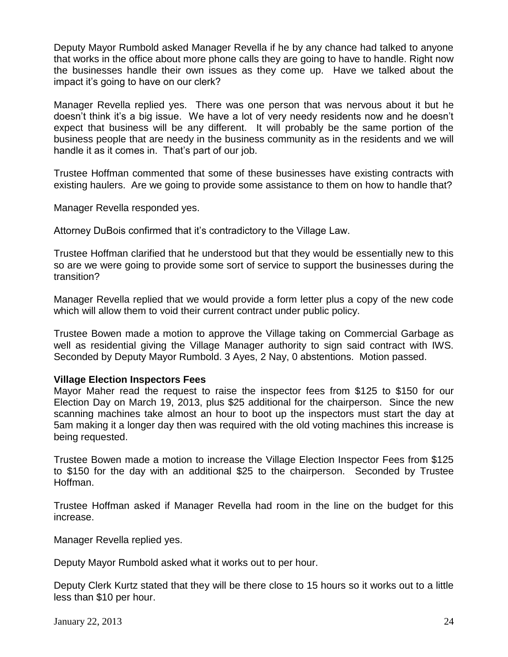Deputy Mayor Rumbold asked Manager Revella if he by any chance had talked to anyone that works in the office about more phone calls they are going to have to handle. Right now the businesses handle their own issues as they come up. Have we talked about the impact it's going to have on our clerk?

Manager Revella replied yes. There was one person that was nervous about it but he doesn't think it's a big issue. We have a lot of very needy residents now and he doesn't expect that business will be any different. It will probably be the same portion of the business people that are needy in the business community as in the residents and we will handle it as it comes in. That's part of our job.

Trustee Hoffman commented that some of these businesses have existing contracts with existing haulers. Are we going to provide some assistance to them on how to handle that?

Manager Revella responded yes.

Attorney DuBois confirmed that it's contradictory to the Village Law.

Trustee Hoffman clarified that he understood but that they would be essentially new to this so are we were going to provide some sort of service to support the businesses during the transition?

Manager Revella replied that we would provide a form letter plus a copy of the new code which will allow them to void their current contract under public policy.

Trustee Bowen made a motion to approve the Village taking on Commercial Garbage as well as residential giving the Village Manager authority to sign said contract with IWS. Seconded by Deputy Mayor Rumbold. 3 Ayes, 2 Nay, 0 abstentions. Motion passed.

## **Village Election Inspectors Fees**

Mayor Maher read the request to raise the inspector fees from \$125 to \$150 for our Election Day on March 19, 2013, plus \$25 additional for the chairperson. Since the new scanning machines take almost an hour to boot up the inspectors must start the day at 5am making it a longer day then was required with the old voting machines this increase is being requested.

Trustee Bowen made a motion to increase the Village Election Inspector Fees from \$125 to \$150 for the day with an additional \$25 to the chairperson. Seconded by Trustee Hoffman.

Trustee Hoffman asked if Manager Revella had room in the line on the budget for this increase.

Manager Revella replied yes.

Deputy Mayor Rumbold asked what it works out to per hour.

Deputy Clerk Kurtz stated that they will be there close to 15 hours so it works out to a little less than \$10 per hour.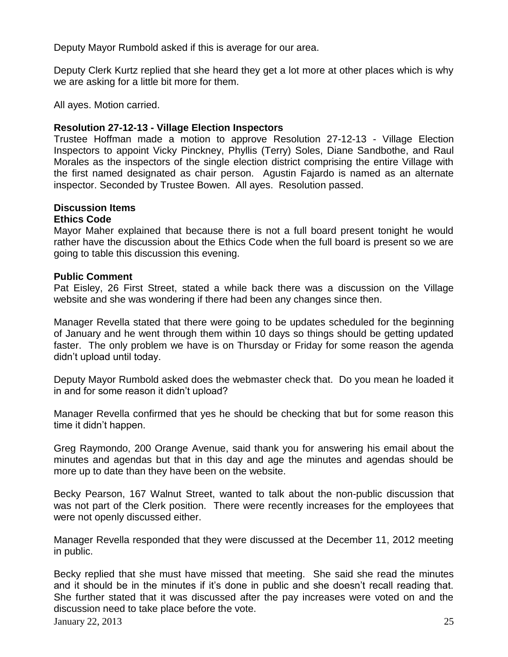Deputy Mayor Rumbold asked if this is average for our area.

Deputy Clerk Kurtz replied that she heard they get a lot more at other places which is why we are asking for a little bit more for them.

All ayes. Motion carried.

# **Resolution 27-12-13 - Village Election Inspectors**

Trustee Hoffman made a motion to approve Resolution 27-12-13 - Village Election Inspectors to appoint Vicky Pinckney, Phyllis (Terry) Soles, Diane Sandbothe, and Raul Morales as the inspectors of the single election district comprising the entire Village with the first named designated as chair person. Agustin Fajardo is named as an alternate inspector. Seconded by Trustee Bowen. All ayes. Resolution passed.

# **Discussion Items**

# **Ethics Code**

Mayor Maher explained that because there is not a full board present tonight he would rather have the discussion about the Ethics Code when the full board is present so we are going to table this discussion this evening.

## **Public Comment**

Pat Eisley, 26 First Street, stated a while back there was a discussion on the Village website and she was wondering if there had been any changes since then.

Manager Revella stated that there were going to be updates scheduled for the beginning of January and he went through them within 10 days so things should be getting updated faster. The only problem we have is on Thursday or Friday for some reason the agenda didn't upload until today.

Deputy Mayor Rumbold asked does the webmaster check that. Do you mean he loaded it in and for some reason it didn't upload?

Manager Revella confirmed that yes he should be checking that but for some reason this time it didn't happen.

Greg Raymondo, 200 Orange Avenue, said thank you for answering his email about the minutes and agendas but that in this day and age the minutes and agendas should be more up to date than they have been on the website.

Becky Pearson, 167 Walnut Street, wanted to talk about the non-public discussion that was not part of the Clerk position. There were recently increases for the employees that were not openly discussed either.

Manager Revella responded that they were discussed at the December 11, 2012 meeting in public.

Becky replied that she must have missed that meeting. She said she read the minutes and it should be in the minutes if it's done in public and she doesn't recall reading that. She further stated that it was discussed after the pay increases were voted on and the discussion need to take place before the vote.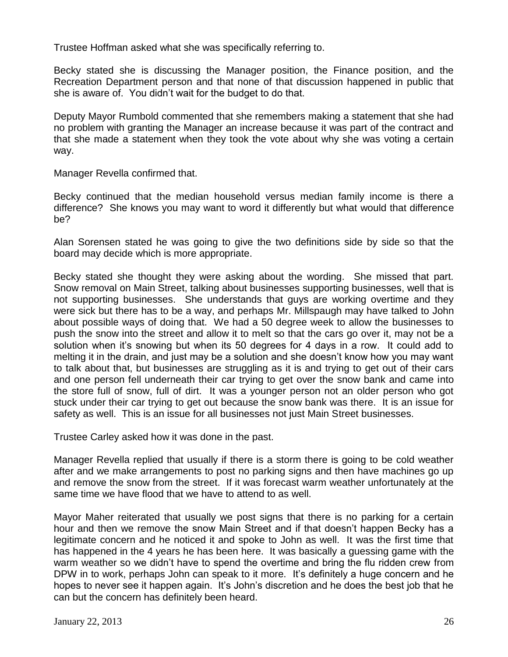Trustee Hoffman asked what she was specifically referring to.

Becky stated she is discussing the Manager position, the Finance position, and the Recreation Department person and that none of that discussion happened in public that she is aware of. You didn't wait for the budget to do that.

Deputy Mayor Rumbold commented that she remembers making a statement that she had no problem with granting the Manager an increase because it was part of the contract and that she made a statement when they took the vote about why she was voting a certain way.

Manager Revella confirmed that.

Becky continued that the median household versus median family income is there a difference? She knows you may want to word it differently but what would that difference be?

Alan Sorensen stated he was going to give the two definitions side by side so that the board may decide which is more appropriate.

Becky stated she thought they were asking about the wording. She missed that part. Snow removal on Main Street, talking about businesses supporting businesses, well that is not supporting businesses. She understands that guys are working overtime and they were sick but there has to be a way, and perhaps Mr. Millspaugh may have talked to John about possible ways of doing that. We had a 50 degree week to allow the businesses to push the snow into the street and allow it to melt so that the cars go over it, may not be a solution when it's snowing but when its 50 degrees for 4 days in a row. It could add to melting it in the drain, and just may be a solution and she doesn't know how you may want to talk about that, but businesses are struggling as it is and trying to get out of their cars and one person fell underneath their car trying to get over the snow bank and came into the store full of snow, full of dirt. It was a younger person not an older person who got stuck under their car trying to get out because the snow bank was there. It is an issue for safety as well. This is an issue for all businesses not just Main Street businesses.

Trustee Carley asked how it was done in the past.

Manager Revella replied that usually if there is a storm there is going to be cold weather after and we make arrangements to post no parking signs and then have machines go up and remove the snow from the street. If it was forecast warm weather unfortunately at the same time we have flood that we have to attend to as well.

Mayor Maher reiterated that usually we post signs that there is no parking for a certain hour and then we remove the snow Main Street and if that doesn't happen Becky has a legitimate concern and he noticed it and spoke to John as well. It was the first time that has happened in the 4 years he has been here. It was basically a guessing game with the warm weather so we didn't have to spend the overtime and bring the flu ridden crew from DPW in to work, perhaps John can speak to it more. It's definitely a huge concern and he hopes to never see it happen again. It's John's discretion and he does the best job that he can but the concern has definitely been heard.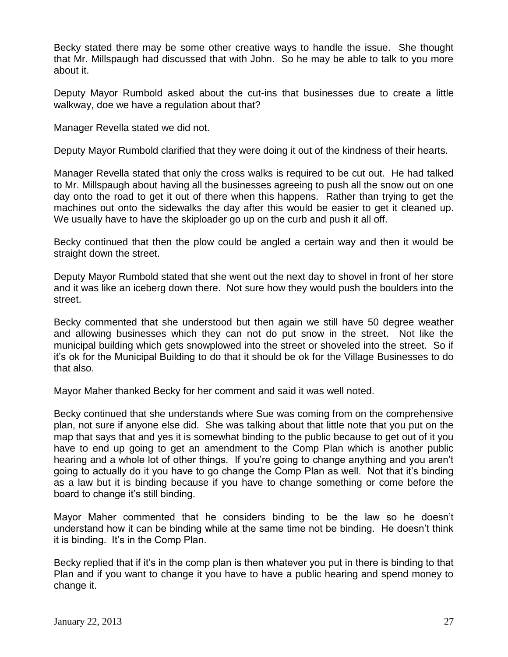Becky stated there may be some other creative ways to handle the issue. She thought that Mr. Millspaugh had discussed that with John. So he may be able to talk to you more about it.

Deputy Mayor Rumbold asked about the cut-ins that businesses due to create a little walkway, doe we have a regulation about that?

Manager Revella stated we did not.

Deputy Mayor Rumbold clarified that they were doing it out of the kindness of their hearts.

Manager Revella stated that only the cross walks is required to be cut out. He had talked to Mr. Millspaugh about having all the businesses agreeing to push all the snow out on one day onto the road to get it out of there when this happens. Rather than trying to get the machines out onto the sidewalks the day after this would be easier to get it cleaned up. We usually have to have the skiploader go up on the curb and push it all off.

Becky continued that then the plow could be angled a certain way and then it would be straight down the street.

Deputy Mayor Rumbold stated that she went out the next day to shovel in front of her store and it was like an iceberg down there. Not sure how they would push the boulders into the street.

Becky commented that she understood but then again we still have 50 degree weather and allowing businesses which they can not do put snow in the street. Not like the municipal building which gets snowplowed into the street or shoveled into the street. So if it's ok for the Municipal Building to do that it should be ok for the Village Businesses to do that also.

Mayor Maher thanked Becky for her comment and said it was well noted.

Becky continued that she understands where Sue was coming from on the comprehensive plan, not sure if anyone else did. She was talking about that little note that you put on the map that says that and yes it is somewhat binding to the public because to get out of it you have to end up going to get an amendment to the Comp Plan which is another public hearing and a whole lot of other things. If you're going to change anything and you aren't going to actually do it you have to go change the Comp Plan as well. Not that it's binding as a law but it is binding because if you have to change something or come before the board to change it's still binding.

Mayor Maher commented that he considers binding to be the law so he doesn't understand how it can be binding while at the same time not be binding. He doesn't think it is binding. It's in the Comp Plan.

Becky replied that if it's in the comp plan is then whatever you put in there is binding to that Plan and if you want to change it you have to have a public hearing and spend money to change it.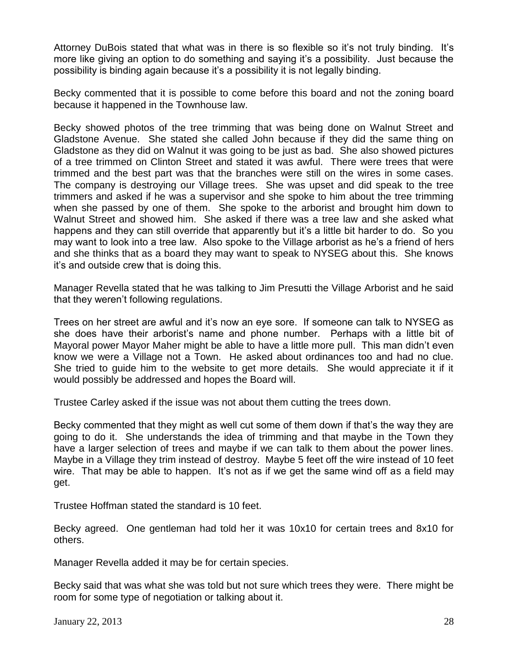Attorney DuBois stated that what was in there is so flexible so it's not truly binding. It's more like giving an option to do something and saying it's a possibility. Just because the possibility is binding again because it's a possibility it is not legally binding.

Becky commented that it is possible to come before this board and not the zoning board because it happened in the Townhouse law.

Becky showed photos of the tree trimming that was being done on Walnut Street and Gladstone Avenue. She stated she called John because if they did the same thing on Gladstone as they did on Walnut it was going to be just as bad. She also showed pictures of a tree trimmed on Clinton Street and stated it was awful. There were trees that were trimmed and the best part was that the branches were still on the wires in some cases. The company is destroying our Village trees. She was upset and did speak to the tree trimmers and asked if he was a supervisor and she spoke to him about the tree trimming when she passed by one of them. She spoke to the arborist and brought him down to Walnut Street and showed him. She asked if there was a tree law and she asked what happens and they can still override that apparently but it's a little bit harder to do. So you may want to look into a tree law. Also spoke to the Village arborist as he's a friend of hers and she thinks that as a board they may want to speak to NYSEG about this. She knows it's and outside crew that is doing this.

Manager Revella stated that he was talking to Jim Presutti the Village Arborist and he said that they weren't following regulations.

Trees on her street are awful and it's now an eye sore. If someone can talk to NYSEG as she does have their arborist's name and phone number. Perhaps with a little bit of Mayoral power Mayor Maher might be able to have a little more pull. This man didn't even know we were a Village not a Town. He asked about ordinances too and had no clue. She tried to guide him to the website to get more details. She would appreciate it if it would possibly be addressed and hopes the Board will.

Trustee Carley asked if the issue was not about them cutting the trees down.

Becky commented that they might as well cut some of them down if that's the way they are going to do it. She understands the idea of trimming and that maybe in the Town they have a larger selection of trees and maybe if we can talk to them about the power lines. Maybe in a Village they trim instead of destroy. Maybe 5 feet off the wire instead of 10 feet wire. That may be able to happen. It's not as if we get the same wind off as a field may get.

Trustee Hoffman stated the standard is 10 feet.

Becky agreed. One gentleman had told her it was 10x10 for certain trees and 8x10 for others.

Manager Revella added it may be for certain species.

Becky said that was what she was told but not sure which trees they were. There might be room for some type of negotiation or talking about it.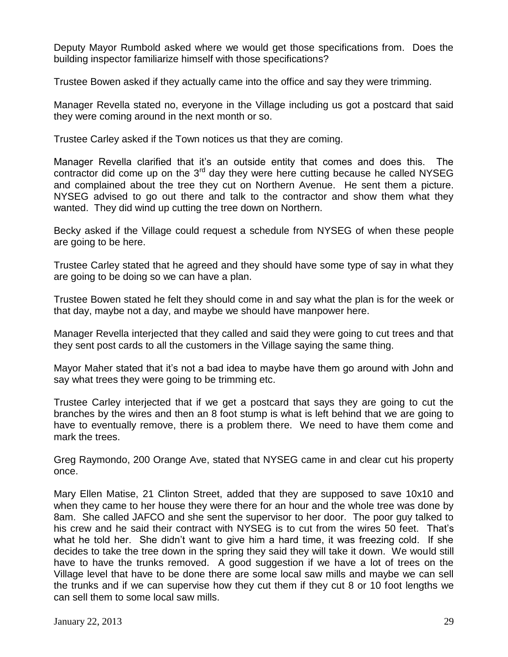Deputy Mayor Rumbold asked where we would get those specifications from. Does the building inspector familiarize himself with those specifications?

Trustee Bowen asked if they actually came into the office and say they were trimming.

Manager Revella stated no, everyone in the Village including us got a postcard that said they were coming around in the next month or so.

Trustee Carley asked if the Town notices us that they are coming.

Manager Revella clarified that it's an outside entity that comes and does this. The contractor did come up on the  $3<sup>rd</sup>$  day they were here cutting because he called NYSEG and complained about the tree they cut on Northern Avenue. He sent them a picture. NYSEG advised to go out there and talk to the contractor and show them what they wanted. They did wind up cutting the tree down on Northern.

Becky asked if the Village could request a schedule from NYSEG of when these people are going to be here.

Trustee Carley stated that he agreed and they should have some type of say in what they are going to be doing so we can have a plan.

Trustee Bowen stated he felt they should come in and say what the plan is for the week or that day, maybe not a day, and maybe we should have manpower here.

Manager Revella interjected that they called and said they were going to cut trees and that they sent post cards to all the customers in the Village saying the same thing.

Mayor Maher stated that it's not a bad idea to maybe have them go around with John and say what trees they were going to be trimming etc.

Trustee Carley interjected that if we get a postcard that says they are going to cut the branches by the wires and then an 8 foot stump is what is left behind that we are going to have to eventually remove, there is a problem there. We need to have them come and mark the trees.

Greg Raymondo, 200 Orange Ave, stated that NYSEG came in and clear cut his property once.

Mary Ellen Matise, 21 Clinton Street, added that they are supposed to save 10x10 and when they came to her house they were there for an hour and the whole tree was done by 8am. She called JAFCO and she sent the supervisor to her door. The poor guy talked to his crew and he said their contract with NYSEG is to cut from the wires 50 feet. That's what he told her. She didn't want to give him a hard time, it was freezing cold. If she decides to take the tree down in the spring they said they will take it down. We would still have to have the trunks removed. A good suggestion if we have a lot of trees on the Village level that have to be done there are some local saw mills and maybe we can sell the trunks and if we can supervise how they cut them if they cut 8 or 10 foot lengths we can sell them to some local saw mills.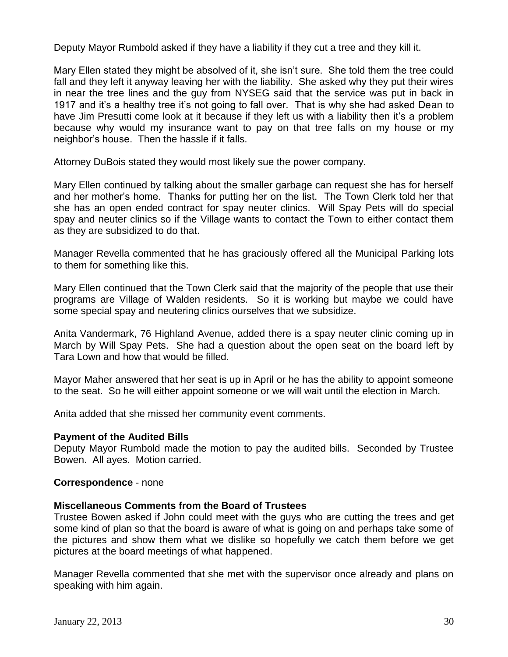Deputy Mayor Rumbold asked if they have a liability if they cut a tree and they kill it.

Mary Ellen stated they might be absolved of it, she isn't sure. She told them the tree could fall and they left it anyway leaving her with the liability. She asked why they put their wires in near the tree lines and the guy from NYSEG said that the service was put in back in 1917 and it's a healthy tree it's not going to fall over. That is why she had asked Dean to have Jim Presutti come look at it because if they left us with a liability then it's a problem because why would my insurance want to pay on that tree falls on my house or my neighbor's house. Then the hassle if it falls.

Attorney DuBois stated they would most likely sue the power company.

Mary Ellen continued by talking about the smaller garbage can request she has for herself and her mother's home. Thanks for putting her on the list. The Town Clerk told her that she has an open ended contract for spay neuter clinics. Will Spay Pets will do special spay and neuter clinics so if the Village wants to contact the Town to either contact them as they are subsidized to do that.

Manager Revella commented that he has graciously offered all the Municipal Parking lots to them for something like this.

Mary Ellen continued that the Town Clerk said that the majority of the people that use their programs are Village of Walden residents. So it is working but maybe we could have some special spay and neutering clinics ourselves that we subsidize.

Anita Vandermark, 76 Highland Avenue, added there is a spay neuter clinic coming up in March by Will Spay Pets. She had a question about the open seat on the board left by Tara Lown and how that would be filled.

Mayor Maher answered that her seat is up in April or he has the ability to appoint someone to the seat. So he will either appoint someone or we will wait until the election in March.

Anita added that she missed her community event comments.

## **Payment of the Audited Bills**

Deputy Mayor Rumbold made the motion to pay the audited bills. Seconded by Trustee Bowen. All ayes. Motion carried.

#### **Correspondence** - none

## **Miscellaneous Comments from the Board of Trustees**

Trustee Bowen asked if John could meet with the guys who are cutting the trees and get some kind of plan so that the board is aware of what is going on and perhaps take some of the pictures and show them what we dislike so hopefully we catch them before we get pictures at the board meetings of what happened.

Manager Revella commented that she met with the supervisor once already and plans on speaking with him again.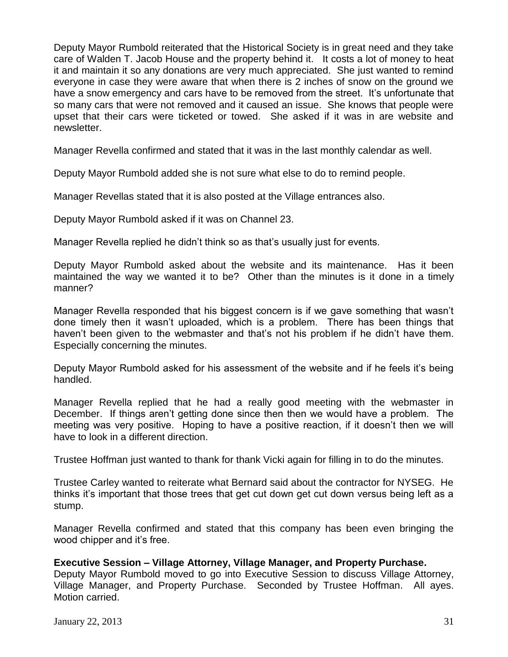Deputy Mayor Rumbold reiterated that the Historical Society is in great need and they take care of Walden T. Jacob House and the property behind it. It costs a lot of money to heat it and maintain it so any donations are very much appreciated. She just wanted to remind everyone in case they were aware that when there is 2 inches of snow on the ground we have a snow emergency and cars have to be removed from the street. It's unfortunate that so many cars that were not removed and it caused an issue. She knows that people were upset that their cars were ticketed or towed. She asked if it was in are website and newsletter.

Manager Revella confirmed and stated that it was in the last monthly calendar as well.

Deputy Mayor Rumbold added she is not sure what else to do to remind people.

Manager Revellas stated that it is also posted at the Village entrances also.

Deputy Mayor Rumbold asked if it was on Channel 23.

Manager Revella replied he didn't think so as that's usually just for events.

Deputy Mayor Rumbold asked about the website and its maintenance. Has it been maintained the way we wanted it to be? Other than the minutes is it done in a timely manner?

Manager Revella responded that his biggest concern is if we gave something that wasn't done timely then it wasn't uploaded, which is a problem. There has been things that haven't been given to the webmaster and that's not his problem if he didn't have them. Especially concerning the minutes.

Deputy Mayor Rumbold asked for his assessment of the website and if he feels it's being handled.

Manager Revella replied that he had a really good meeting with the webmaster in December. If things aren't getting done since then then we would have a problem. The meeting was very positive. Hoping to have a positive reaction, if it doesn't then we will have to look in a different direction.

Trustee Hoffman just wanted to thank for thank Vicki again for filling in to do the minutes.

Trustee Carley wanted to reiterate what Bernard said about the contractor for NYSEG. He thinks it's important that those trees that get cut down get cut down versus being left as a stump.

Manager Revella confirmed and stated that this company has been even bringing the wood chipper and it's free.

## **Executive Session – Village Attorney, Village Manager, and Property Purchase.**

Deputy Mayor Rumbold moved to go into Executive Session to discuss Village Attorney, Village Manager, and Property Purchase. Seconded by Trustee Hoffman. All ayes. Motion carried.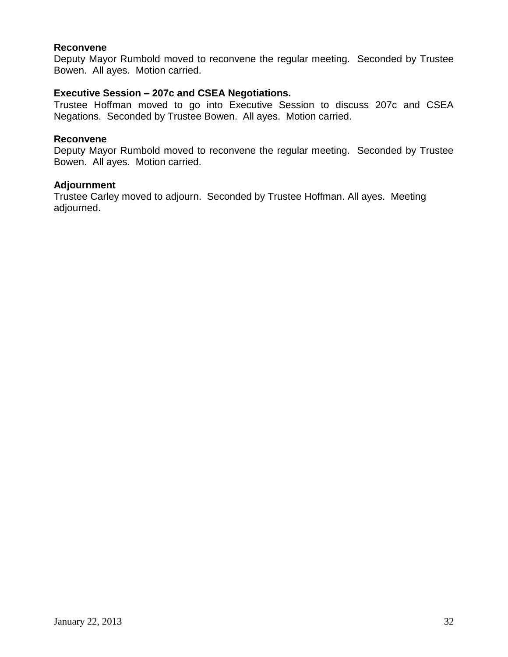# **Reconvene**

Deputy Mayor Rumbold moved to reconvene the regular meeting. Seconded by Trustee Bowen. All ayes. Motion carried.

## **Executive Session – 207c and CSEA Negotiations.**

Trustee Hoffman moved to go into Executive Session to discuss 207c and CSEA Negations. Seconded by Trustee Bowen. All ayes. Motion carried.

### **Reconvene**

Deputy Mayor Rumbold moved to reconvene the regular meeting. Seconded by Trustee Bowen. All ayes. Motion carried.

## **Adjournment**

Trustee Carley moved to adjourn. Seconded by Trustee Hoffman. All ayes. Meeting adjourned.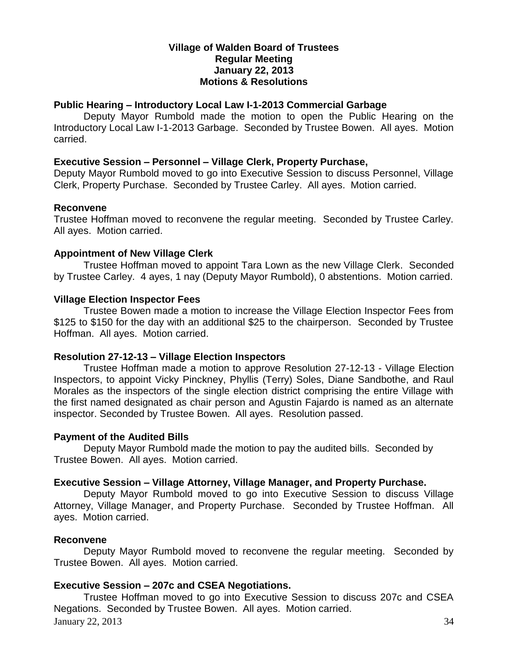# **Village of Walden Board of Trustees Regular Meeting January 22, 2013 Motions & Resolutions**

# **Public Hearing – Introductory Local Law I-1-2013 Commercial Garbage**

Deputy Mayor Rumbold made the motion to open the Public Hearing on the Introductory Local Law I-1-2013 Garbage. Seconded by Trustee Bowen. All ayes. Motion carried.

## **Executive Session – Personnel – Village Clerk, Property Purchase,**

Deputy Mayor Rumbold moved to go into Executive Session to discuss Personnel, Village Clerk, Property Purchase. Seconded by Trustee Carley. All ayes. Motion carried.

## **Reconvene**

Trustee Hoffman moved to reconvene the regular meeting. Seconded by Trustee Carley. All ayes. Motion carried.

## **Appointment of New Village Clerk**

Trustee Hoffman moved to appoint Tara Lown as the new Village Clerk. Seconded by Trustee Carley. 4 ayes, 1 nay (Deputy Mayor Rumbold), 0 abstentions. Motion carried.

## **Village Election Inspector Fees**

Trustee Bowen made a motion to increase the Village Election Inspector Fees from \$125 to \$150 for the day with an additional \$25 to the chairperson. Seconded by Trustee Hoffman. All ayes. Motion carried.

# **Resolution 27-12-13 – Village Election Inspectors**

Trustee Hoffman made a motion to approve Resolution 27-12-13 - Village Election Inspectors, to appoint Vicky Pinckney, Phyllis (Terry) Soles, Diane Sandbothe, and Raul Morales as the inspectors of the single election district comprising the entire Village with the first named designated as chair person and Agustin Fajardo is named as an alternate inspector. Seconded by Trustee Bowen. All ayes. Resolution passed.

## **Payment of the Audited Bills**

Deputy Mayor Rumbold made the motion to pay the audited bills. Seconded by Trustee Bowen. All ayes. Motion carried.

## **Executive Session – Village Attorney, Village Manager, and Property Purchase.**

Deputy Mayor Rumbold moved to go into Executive Session to discuss Village Attorney, Village Manager, and Property Purchase. Seconded by Trustee Hoffman. All ayes. Motion carried.

## **Reconvene**

Deputy Mayor Rumbold moved to reconvene the regular meeting. Seconded by Trustee Bowen. All ayes. Motion carried.

## **Executive Session – 207c and CSEA Negotiations.**

 $J_{\text{annuary}}$  22, 2013  $34$ Trustee Hoffman moved to go into Executive Session to discuss 207c and CSEA Negations. Seconded by Trustee Bowen. All ayes. Motion carried.